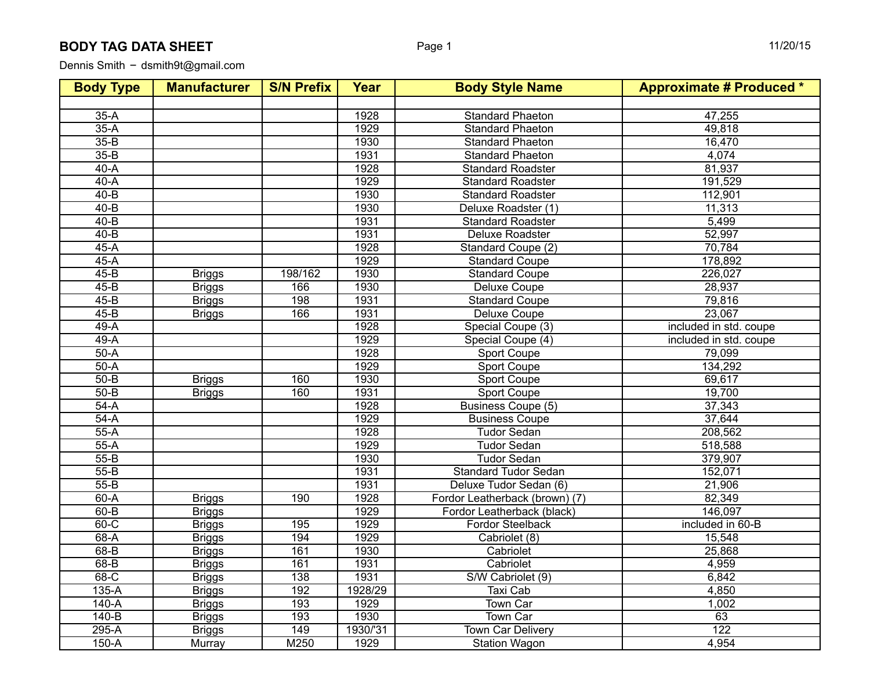## **BODY TAG DATA SHEET**

Dennis Smith - dsmith9t@gmail.com

| <b>Body Type</b> | <b>Manufacturer</b> | <b>S/N Prefix</b> | Year     | <b>Body Style Name</b>         | <b>Approximate # Produced *</b> |
|------------------|---------------------|-------------------|----------|--------------------------------|---------------------------------|
|                  |                     |                   |          |                                |                                 |
| $35-A$           |                     |                   | 1928     | <b>Standard Phaeton</b>        | 47,255                          |
| $35-A$           |                     |                   | 1929     | <b>Standard Phaeton</b>        | 49,818                          |
| $35-B$           |                     |                   | 1930     | <b>Standard Phaeton</b>        | 16,470                          |
| $35 - B$         |                     |                   | 1931     | <b>Standard Phaeton</b>        | 4,074                           |
| $40-A$           |                     |                   | 1928     | <b>Standard Roadster</b>       | 81,937                          |
| $40-A$           |                     |                   | 1929     | <b>Standard Roadster</b>       | 191,529                         |
| $40 - B$         |                     |                   | 1930     | <b>Standard Roadster</b>       | 112,901                         |
| $40 - B$         |                     |                   | 1930     | Deluxe Roadster (1)            | 11,313                          |
| $40 - B$         |                     |                   | 1931     | <b>Standard Roadster</b>       | 5,499                           |
| $40 - B$         |                     |                   | 1931     | <b>Deluxe Roadster</b>         | 52,997                          |
| $45-A$           |                     |                   | 1928     | Standard Coupe (2)             | 70,784                          |
| $45-A$           |                     |                   | 1929     | <b>Standard Coupe</b>          | 178,892                         |
| $45-B$           | <b>Briggs</b>       | 198/162           | 1930     | <b>Standard Coupe</b>          | 226,027                         |
| $45 - B$         | <b>Briggs</b>       | 166               | 1930     | Deluxe Coupe                   | 28,937                          |
| $45 - B$         | <b>Briggs</b>       | 198               | 1931     | <b>Standard Coupe</b>          | 79,816                          |
| $45 - B$         | <b>Briggs</b>       | 166               | 1931     | Deluxe Coupe                   | 23,067                          |
| $49-A$           |                     |                   | 1928     | Special Coupe (3)              | included in std. coupe          |
| $49-A$           |                     |                   | 1929     | Special Coupe (4)              | included in std. coupe          |
| $50-A$           |                     |                   | 1928     | Sport Coupe                    | 79,099                          |
| $50-A$           |                     |                   | 1929     | <b>Sport Coupe</b>             | 134,292                         |
| $50 - B$         | <b>Briggs</b>       | 160               | 1930     | <b>Sport Coupe</b>             | 69,617                          |
| $50 - B$         | <b>Briggs</b>       | 160               | 1931     | <b>Sport Coupe</b>             | 19,700                          |
| $54-A$           |                     |                   | 1928     | Business Coupe (5)             | 37,343                          |
| $54-A$           |                     |                   | 1929     | <b>Business Coupe</b>          | 37,644                          |
| $55-A$           |                     |                   | 1928     | <b>Tudor Sedan</b>             | 208,562                         |
| $55-A$           |                     |                   | 1929     | <b>Tudor Sedan</b>             | 518,588                         |
| $55 - B$         |                     |                   | 1930     | Tudor Sedan                    | 379,907                         |
| $55 - B$         |                     |                   | 1931     | <b>Standard Tudor Sedan</b>    | 152,071                         |
| $55 - B$         |                     |                   | 1931     | Deluxe Tudor Sedan (6)         | 21,906                          |
| $60-A$           | <b>Briggs</b>       | 190               | 1928     | Fordor Leatherback (brown) (7) | 82,349                          |
| $60 - B$         | <b>Briggs</b>       |                   | 1929     | Fordor Leatherback (black)     | 146,097                         |
| $60-C$           | <b>Briggs</b>       | 195               | 1929     | Fordor Steelback               | included in 60-B                |
| $68-A$           | <b>Briggs</b>       | 194               | 1929     | Cabriolet (8)                  | 15,548                          |
| $68 - B$         | <b>Briggs</b>       | 161               | 1930     | Cabriolet                      | 25,868                          |
| $68 - B$         | <b>Briggs</b>       | 161               | 1931     | Cabriolet                      | 4,959                           |
| $68-C$           | <b>Briggs</b>       | 138               | 1931     | S/W Cabriolet (9)              | 6,842                           |
| $135-A$          | <b>Briggs</b>       | 192               | 1928/29  | <b>Taxi Cab</b>                | 4,850                           |
| $140-A$          | <b>Briggs</b>       | 193               | 1929     | <b>Town Car</b>                | 1,002                           |
| $140-B$          | <b>Briggs</b>       | 193               | 1930     | <b>Town Car</b>                | 63                              |
| $295-A$          | <b>Briggs</b>       | 149               | 1930/'31 | <b>Town Car Delivery</b>       | 122                             |
| $150-A$          | Murray              | M250              | 1929     | <b>Station Wagon</b>           | 4,954                           |